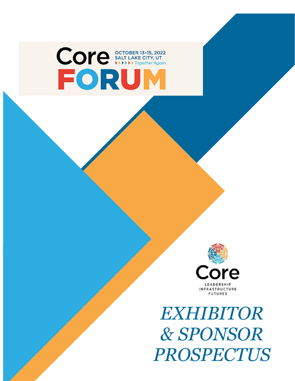# Core SALT LAKE CITY, UT **FORUM**



*EXHIBITOR & SPONSOR PROSPECTUS*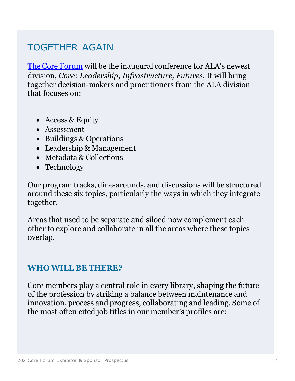### TOGETHER AGAIN

The Core [Forum](http://coreforum.org/) will be the inaugural conference for ALA's newest division, *Core: Leadership, Infrastructure, Futures*. It will bring together decision-makers and practitioners from the ALA division that focuses on:

- Access & Equity
- Assessment
- Buildings & Operations
- Leadership & Management
- Metadata & Collections
- Technology

Our program tracks, dine-arounds, and discussions will be structured around these six topics, particularly the ways in which they integrate together.

Areas that used to be separate and siloed now complement each other to explore and collaborate in all the areas where these topics overlap.

#### **WHO WILL BE THERE?**

Core members play a central role in every library, shaping the future of the profession by striking a balance between maintenance and innovation, process and progress, collaborating and leading. Some of the most often cited job titles in our member's profiles are: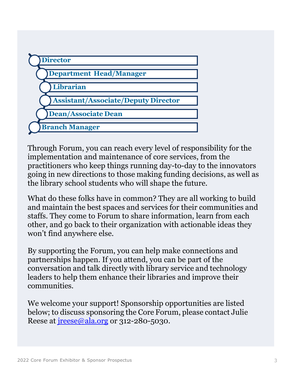

Through Forum, you can reach every level of responsibility for the implementation and maintenance of core services, from the practitioners who keep things running day-to-day to the innovators going in new directions to those making funding decisions, as well as the library school students who will shape the future.

What do these folks have in common? They are all working to build and maintain the best spaces and services for their communities and staffs. They come to Forum to share information, learn from each other, and go back to their organization with actionable ideas they won't find anywhere else.

By supporting the Forum, you can help make connections and partnerships happen. If you attend, you can be part of the conversation and talk directly with library service and technology leaders to help them enhance their libraries and improve their communities.

We welcome your support! Sponsorship opportunities are listed below; to discuss sponsoring the Core Forum, please contact Julie Reese at  $\text{ireese@ala.org}$  or 312-280-5030.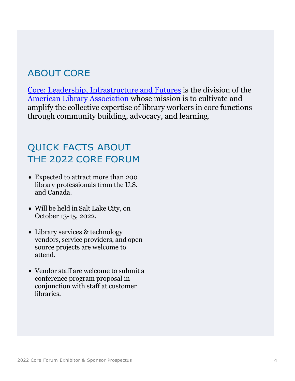### ABOUT CORE

[Core: Leadership, Infrastructure and Futures](http://www.ala.org/core) is the division of the [American Library Association](http://www.ala.org/) whose mission is to cultivate and amplify the collective expertise of library workers in core functions through community building, advocacy, and learning.

### QUICK FACTS ABOUT THE 2022 CORE FORUM

- Expected to attract more than 200 library professionals from the U.S. and Canada.
- Will be held in Salt Lake City, on October 13-15, 2022.
- Library services & technology vendors, service providers, and open source projects are welcome to attend.
- Vendor staff are welcome to submit a conference program proposal in conjunction with staff at customer libraries.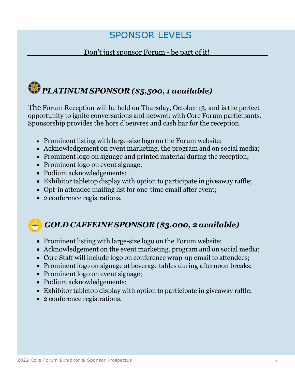### SPONSOR LEVELS

#### Don't just sponsor Forum - be part of it!

### *PLATINUM SPONSOR (\$5,500, 1 available)*

The Forum Reception will be held on Thursday, October 13, and is the perfect opportunity to ignite conversations and network with Core Forum participants. Sponsorship provides the hors d'oeuvres and cash bar for the reception.

- Prominent listing with large-size logo on the Forum website;
- Acknowledgement on event marketing, the program and on social media;
- Prominent logo on signage and printed material during the reception;
- Prominent logo on event signage;
- Podium acknowledgements;
- Exhibitor tabletop display with option to participate in giveaway raffle;
- Opt-in attendee mailing list for one-time email after event;
- 2 conference registrations.

### *GOLD CAFFEINE SPONSOR (\$3,000, 2 available)*

- Prominent listing with large-size logo on the Forum website;
- Acknowledgement on the event marketing, program and on social media;
- Core Staff will include logo on conference wrap-up email to attendees;
- Prominent logo on signage at beverage tables during afternoon breaks;
- Prominent logo on event signage;
- Podium acknowledgements;
- Exhibitor tabletop display with option to participate in giveaway raffle;
- 2 conference registrations.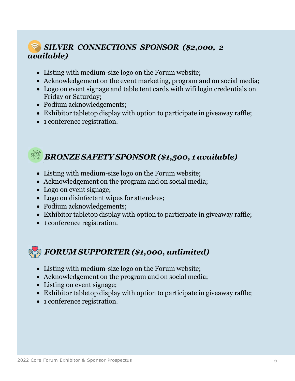### *SILVER CONNECTIONS SPONSOR (\$2,000, 2 available)*

- Listing with medium-size logo on the Forum website;
- Acknowledgement on the event marketing, program and on social media;
- Logo on event signage and table tent cards with wifi login credentials on Friday or Saturday;
- Podium acknowledgements;
- Exhibitor tabletop display with option to participate in giveaway raffle;
- 1 conference registration.

### *BRONZE SAFETY SPONSOR (\$1,500, 1 available)*

- Listing with medium-size logo on the Forum website;
- Acknowledgement on the program and on social media;
- Logo on event signage;
- Logo on disinfectant wipes for attendees;
- Podium acknowledgements;
- Exhibitor tabletop display with option to participate in giveaway raffle;
- 1 conference registration.



### *FORUM SUPPORTER (\$1,000, unlimited)*

- Listing with medium-size logo on the Forum website;
- Acknowledgement on the program and on social media;
- Listing on event signage;
- Exhibitor tabletop display with option to participate in giveaway raffle;
- 1 conference registration.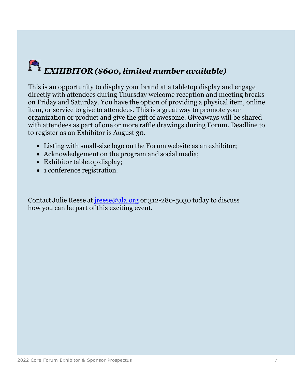## *EXHIBITOR (\$600, limited number available)*

This is an opportunity to display your brand at a tabletop display and engage directly with attendees during Thursday welcome reception and meeting breaks on Friday and Saturday. You have the option of providing a physical item, online item, or service to give to attendees. This is a great way to promote your organization or product and give the gift of awesome. Giveaways will be shared with attendees as part of one or more raffle drawings during Forum. Deadline to to register as an Exhibitor is August 30.

- Listing with small-size logo on the Forum website as an exhibitor;
- Acknowledgement on the program and social media;
- Exhibitor tabletop display;
- 1 conference registration.

Contact Julie Reese at  $\text{jrees}(\text{Qala.org} \text{ or } 312-280-5030 \text{ today to discuss})$ how you can be part of this exciting event.